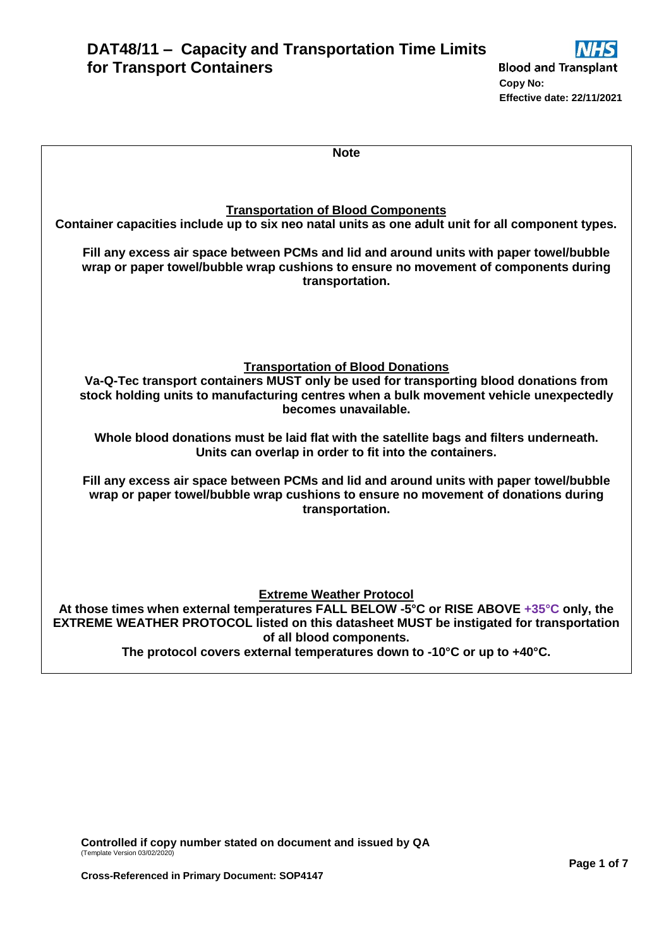

| <b>Note</b>                                                                                                                                                                     |
|---------------------------------------------------------------------------------------------------------------------------------------------------------------------------------|
|                                                                                                                                                                                 |
|                                                                                                                                                                                 |
| <b>Transportation of Blood Components</b>                                                                                                                                       |
| Container capacities include up to six neo natal units as one adult unit for all component types.                                                                               |
|                                                                                                                                                                                 |
| Fill any excess air space between PCMs and lid and around units with paper towel/bubble<br>wrap or paper towel/bubble wrap cushions to ensure no movement of components during  |
| transportation.                                                                                                                                                                 |
|                                                                                                                                                                                 |
|                                                                                                                                                                                 |
|                                                                                                                                                                                 |
|                                                                                                                                                                                 |
| <b>Transportation of Blood Donations</b>                                                                                                                                        |
| Va-Q-Tec transport containers MUST only be used for transporting blood donations from<br>stock holding units to manufacturing centres when a bulk movement vehicle unexpectedly |
| becomes unavailable.                                                                                                                                                            |
|                                                                                                                                                                                 |
| Whole blood donations must be laid flat with the satellite bags and filters underneath.                                                                                         |
| Units can overlap in order to fit into the containers.                                                                                                                          |
| Fill any excess air space between PCMs and lid and around units with paper towel/bubble                                                                                         |
| wrap or paper towel/bubble wrap cushions to ensure no movement of donations during                                                                                              |
| transportation.                                                                                                                                                                 |
|                                                                                                                                                                                 |
|                                                                                                                                                                                 |
|                                                                                                                                                                                 |
| <b>Extreme Weather Protocol</b>                                                                                                                                                 |
| At those times when external temperatures FALL BELOW -5°C or RISE ABOVE +35°C only, the                                                                                         |
| EXTREME WEATHER PROTOCOL listed on this datasheet MUST be instigated for transportation                                                                                         |
| of all blood components.<br>The protocol covers external temperatures down to -10 $^{\circ}$ C or up to +40 $^{\circ}$ C.                                                       |
|                                                                                                                                                                                 |
|                                                                                                                                                                                 |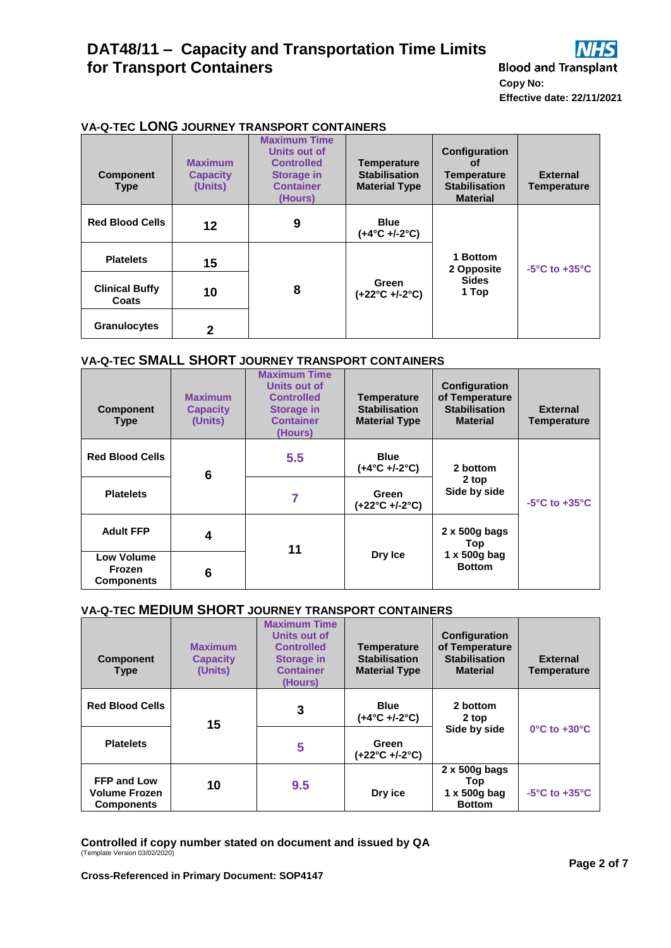# **DAT48/11 – Capacity and Transportation Time Limits for Transport Containers**



**Blood and Transplant Copy No: Effective date: 22/11/2021**

| <b>Component</b><br><b>Type</b> | <b>Maximum</b><br><b>Capacity</b><br>(Units) | <b>Maximum Time</b><br>Units out of<br><b>Controlled</b><br><b>Storage in</b><br><b>Container</b><br>(Hours) | <b>Temperature</b><br><b>Stabilisation</b><br><b>Material Type</b> | Configuration<br>0t<br><b>Temperature</b><br><b>Stabilisation</b><br><b>Material</b> | <b>External</b><br>Temperature    |
|---------------------------------|----------------------------------------------|--------------------------------------------------------------------------------------------------------------|--------------------------------------------------------------------|--------------------------------------------------------------------------------------|-----------------------------------|
| <b>Red Blood Cells</b>          | 12                                           | 9                                                                                                            | <b>Blue</b><br>$(+4^{\circ}C +/-2^{\circ}C)$                       |                                                                                      |                                   |
| <b>Platelets</b>                | 15                                           |                                                                                                              |                                                                    | 1 Bottom<br>2 Opposite                                                               | $-5^{\circ}$ C to $+35^{\circ}$ C |
| <b>Clinical Buffy</b><br>Coats  | 10                                           | 8                                                                                                            | Green<br>(+22°C +/-2°C)                                            | <b>Sides</b><br>1 Top                                                                |                                   |
| <b>Granulocytes</b>             | $\mathbf{2}$                                 |                                                                                                              |                                                                    |                                                                                      |                                   |

## **VA-Q-TEC LONG JOURNEY TRANSPORT CONTAINERS**

## **VA-Q-TEC SMALL SHORT JOURNEY TRANSPORT CONTAINERS**

| <b>Component</b><br><b>Type</b>                         | <b>Maximum</b><br><b>Capacity</b><br>(Units) | <b>Maximum Time</b><br>Units out of<br><b>Controlled</b><br><b>Storage in</b><br><b>Container</b><br>(Hours) | <b>Temperature</b><br><b>Stabilisation</b><br><b>Material Type</b> | <b>Configuration</b><br>of Temperature<br><b>Stabilisation</b><br><b>Material</b> | <b>External</b><br><b>Temperature</b> |
|---------------------------------------------------------|----------------------------------------------|--------------------------------------------------------------------------------------------------------------|--------------------------------------------------------------------|-----------------------------------------------------------------------------------|---------------------------------------|
| <b>Red Blood Cells</b>                                  | 6                                            | 5.5                                                                                                          | <b>Blue</b><br>$(+4^{\circ}C +/-2^{\circ}C)$                       | 2 bottom                                                                          |                                       |
| <b>Platelets</b>                                        |                                              | 7                                                                                                            | Green<br>(+22°C +/-2°C)                                            | 2 top<br>Side by side                                                             | $-5^{\circ}$ C to $+35^{\circ}$ C     |
| <b>Adult FFP</b>                                        | 4                                            | 11                                                                                                           |                                                                    | 2 x 500g bags<br>Top                                                              |                                       |
| <b>Low Volume</b><br><b>Frozen</b><br><b>Components</b> | 6                                            |                                                                                                              | Dry Ice                                                            | 1 $x$ 500g bag<br><b>Bottom</b>                                                   |                                       |

### **VA-Q-TEC MEDIUM SHORT JOURNEY TRANSPORT CONTAINERS**

| <b>Component</b><br><b>Type</b>                          | <b>Maximum</b><br><b>Capacity</b><br>(Units) | <b>Maximum Time</b><br>Units out of<br><b>Controlled</b><br><b>Storage in</b><br><b>Container</b><br>(Hours) | <b>Temperature</b><br><b>Stabilisation</b><br><b>Material Type</b> | <b>Configuration</b><br>of Temperature<br><b>Stabilisation</b><br><b>Material</b> | <b>External</b><br><b>Temperature</b> |
|----------------------------------------------------------|----------------------------------------------|--------------------------------------------------------------------------------------------------------------|--------------------------------------------------------------------|-----------------------------------------------------------------------------------|---------------------------------------|
| <b>Red Blood Cells</b>                                   | 15                                           | 3                                                                                                            | <b>Blue</b><br>$(+4^{\circ}C + (-2^{\circ}C))$                     | 2 bottom<br>2 top                                                                 |                                       |
| <b>Platelets</b>                                         |                                              | 5                                                                                                            | Green<br>$(+22^{\circ}C +1.2^{\circ}C)$                            | Side by side                                                                      | $0^{\circ}$ C to +30 $^{\circ}$ C     |
| FFP and Low<br><b>Volume Frozen</b><br><b>Components</b> | 10                                           | 9.5                                                                                                          | Dry ice                                                            | 2 x 500g bags<br>Top<br>1 x 500g bag<br><b>Bottom</b>                             | $-5^{\circ}$ C to $+35^{\circ}$ C     |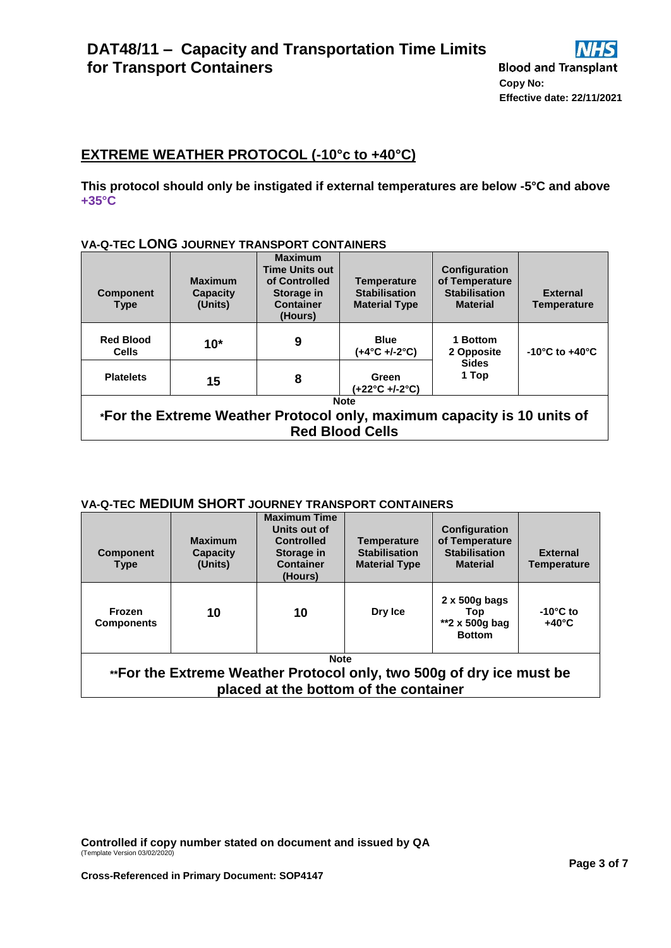

**Blood and Transplant Copy No: Effective date: 22/11/2021**

## **EXTREME WEATHER PROTOCOL (-10°c to +40°C)**

**This protocol should only be instigated if external temperatures are below -5°C and above +35°C**

## **VA-Q-TEC LONG JOURNEY TRANSPORT CONTAINERS**

| <b>Component</b><br><b>Type</b>                                         | <b>Maximum</b><br>Capacity<br>(Units) | <b>Maximum</b><br><b>Time Units out</b><br>of Controlled<br>Storage in<br><b>Container</b><br>(Hours) | <b>Temperature</b><br><b>Stabilisation</b><br><b>Material Type</b> | <b>Configuration</b><br>of Temperature<br><b>Stabilisation</b><br><b>Material</b> | <b>External</b><br><b>Temperature</b> |  |
|-------------------------------------------------------------------------|---------------------------------------|-------------------------------------------------------------------------------------------------------|--------------------------------------------------------------------|-----------------------------------------------------------------------------------|---------------------------------------|--|
| <b>Red Blood</b><br><b>Cells</b>                                        | $10*$                                 | 9                                                                                                     | <b>Blue</b><br>$(+4^{\circ}C + (-2^{\circ}C))$                     | 1 Bottom<br>2 Opposite                                                            | -10 $^{\circ}$ C to +40 $^{\circ}$ C  |  |
| <b>Platelets</b>                                                        | 15                                    | 8                                                                                                     | Green<br>(+22°C +/-2°C)                                            | <b>Sides</b><br>1 Top                                                             |                                       |  |
| <b>Note</b>                                                             |                                       |                                                                                                       |                                                                    |                                                                                   |                                       |  |
| *For the Extreme Weather Protocol only, maximum capacity is 10 units of |                                       |                                                                                                       |                                                                    |                                                                                   |                                       |  |
| <b>Red Blood Cells</b>                                                  |                                       |                                                                                                       |                                                                    |                                                                                   |                                       |  |

### **VA-Q-TEC MEDIUM SHORT JOURNEY TRANSPORT CONTAINERS**

| <b>Component</b><br><b>Type</b>                                      | <b>Maximum</b><br>Capacity<br>(Units) | <b>Maximum Time</b><br>Units out of<br><b>Controlled</b><br>Storage in<br><b>Container</b><br>(Hours) | <b>Temperature</b><br><b>Stabilisation</b><br><b>Material Type</b> | Configuration<br>of Temperature<br><b>Stabilisation</b><br><b>Material</b> | <b>External</b><br><b>Temperature</b> |  |  |
|----------------------------------------------------------------------|---------------------------------------|-------------------------------------------------------------------------------------------------------|--------------------------------------------------------------------|----------------------------------------------------------------------------|---------------------------------------|--|--|
| <b>Frozen</b><br><b>Components</b>                                   | 10                                    | 10                                                                                                    | Dry Ice                                                            | $2 \times 500$ g bags<br>Top<br>**2 x 500g bag<br><b>Bottom</b>            | $-10^{\circ}$ C to<br>$+40^{\circ}$ C |  |  |
| <b>Note</b>                                                          |                                       |                                                                                                       |                                                                    |                                                                            |                                       |  |  |
| **For the Extreme Weather Protocol only, two 500g of dry ice must be |                                       |                                                                                                       |                                                                    |                                                                            |                                       |  |  |
| placed at the bottom of the container                                |                                       |                                                                                                       |                                                                    |                                                                            |                                       |  |  |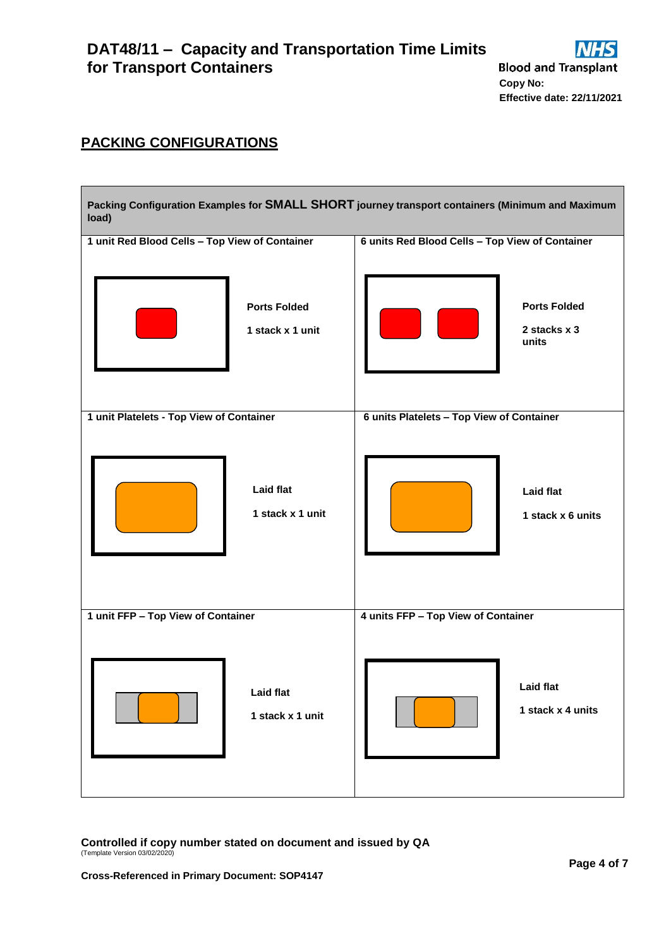

**Copy No: Effective date: 22/11/2021**

## **PACKING CONFIGURATIONS**

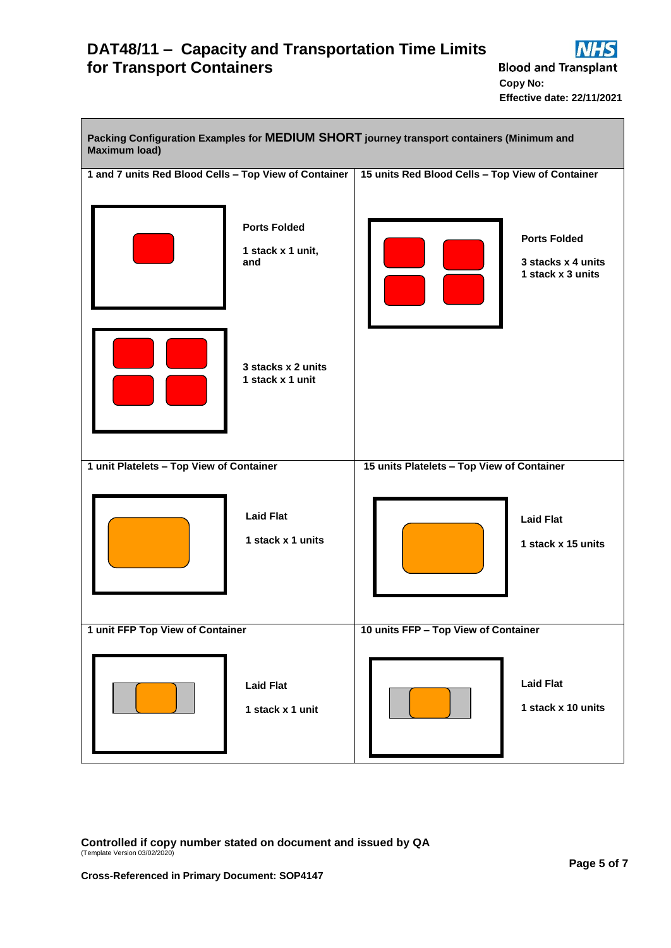# **DAT48/11 – Capacity and Transportation Time Limits for Transport Containers**



**Blood and Transplant Copy No: Effective date: 22/11/2021**

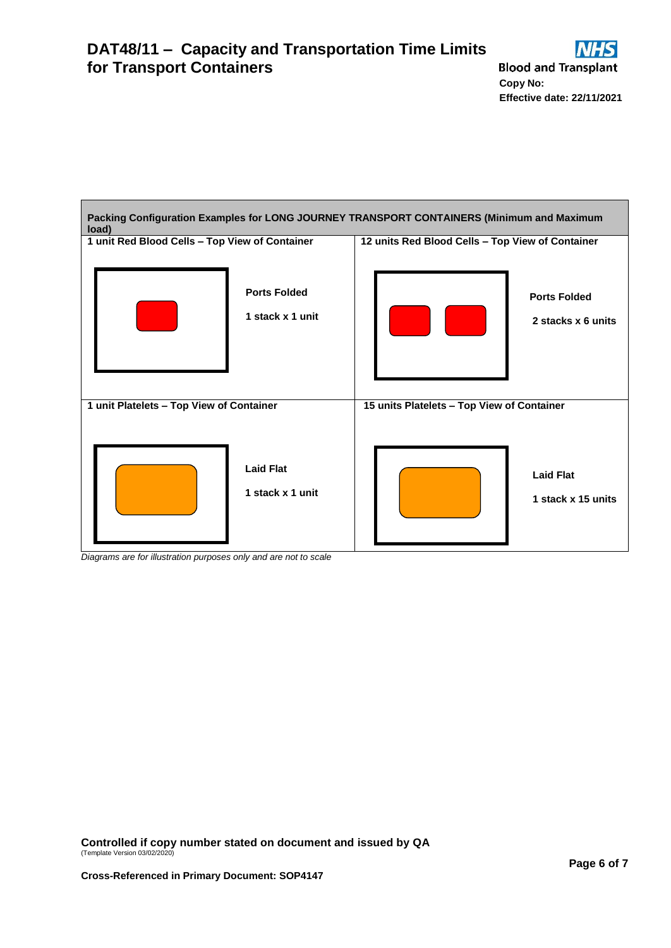



*Diagrams are for illustration purposes only and are not to scale*